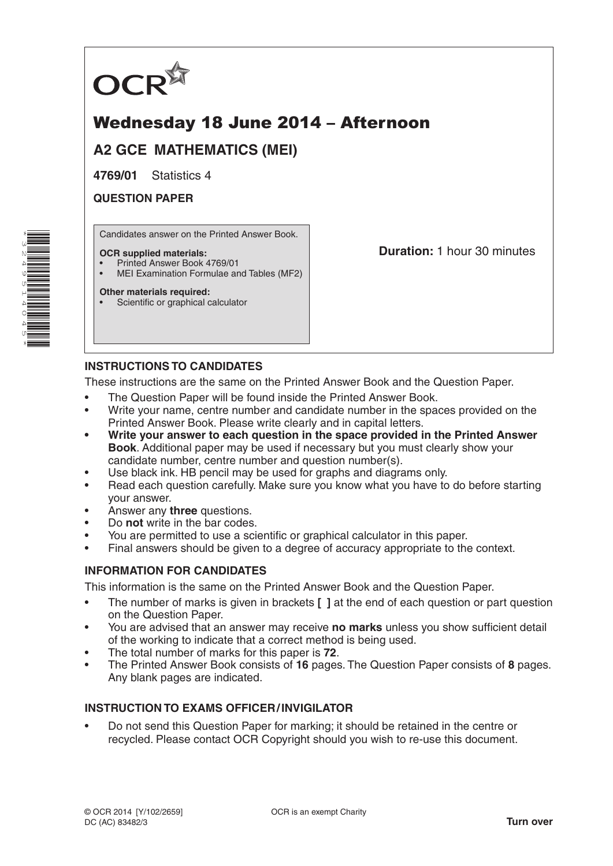

# Wednesday 18 June 2014 – Afternoon

**A2 GCE MATHEMATICS (MEI)**

**4769/01** Statistics 4

**QUESTION PAPER**

Candidates answer on the Printed Answer Book.

### **OCR supplied materials:**

- Printed Answer Book 4769/01
- MEI Examination Formulae and Tables (MF2)

### **Other materials required:**

Scientific or graphical calculator

**Duration:** 1 hour 30 minutes

# **INSTRUCTIONS TO CANDIDATES**

These instructions are the same on the Printed Answer Book and the Question Paper.

- The Question Paper will be found inside the Printed Answer Book.
- Write your name, centre number and candidate number in the spaces provided on the Printed Answer Book. Please write clearly and in capital letters.
- **• Write your answer to each question in the space provided in the Printed Answer Book**. Additional paper may be used if necessary but you must clearly show your candidate number, centre number and question number(s).
- Use black ink. HB pencil may be used for graphs and diagrams only.
- Read each question carefully. Make sure you know what you have to do before starting your answer.
- Answer any **three** questions.
- Do **not** write in the bar codes.
- You are permitted to use a scientific or graphical calculator in this paper.
- Final answers should be given to a degree of accuracy appropriate to the context.

# **INFORMATION FOR CANDIDATES**

This information is the same on the Printed Answer Book and the Question Paper.

- The number of marks is given in brackets **[ ]** at the end of each question or part question on the Question Paper.
- You are advised that an answer may receive **no marks** unless you show sufficient detail of the working to indicate that a correct method is being used.
- The total number of marks for this paper is **72**.
- The Printed Answer Book consists of **16** pages. The Question Paper consists of **8** pages. Any blank pages are indicated.

# **INSTRUCTION TO EXAMS OFFICER/INVIGILATOR**

• Do not send this Question Paper for marking; it should be retained in the centre or recycled. Please contact OCR Copyright should you wish to re-use this document.

\*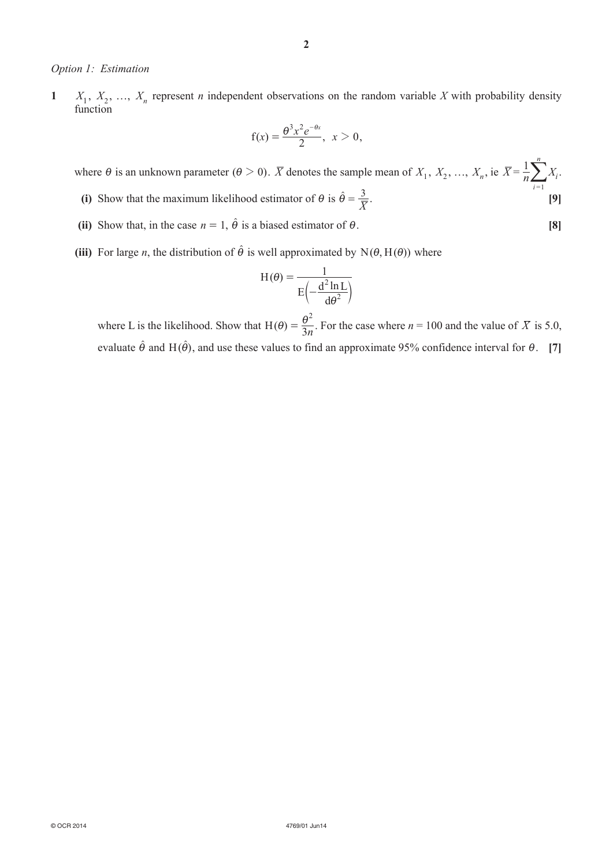#### *Option 1: Estimation*

**1**  $X_1, X_2, \ldots, X_n$  represent *n* independent observations on the random variable *X* with probability density function

$$
f(x) = \frac{\theta^3 x^2 e^{-\theta x}}{2}, \ \ x > 0,
$$

where  $\theta$  is an unknown parameter ( $\theta > 0$ ).  $\overline{X}$  denotes the sample mean of  $X_1, X_2, ..., X_n$ , ie  $\overline{X} = \frac{1}{n} \sum_{i=1}^{n} X_i$  $i = 1$ =  $\sum_{i=1}^n X_i$ .

- **(i)** Show that the maximum likelihood estimator of  $\theta$  is  $\hat{\theta} = \frac{3}{\overline{X}}$ . [9]
- **(ii)** Show that, in the case  $n = 1$ ,  $\hat{\theta}$  is a biased estimator of  $\theta$ . [8]
- **(iii)** For large *n*, the distribution of  $\hat{\theta}$  is well approximated by N( $\theta$ , H( $\theta$ )) where

$$
H(\theta) = \frac{1}{E\left(-\frac{d^2 \ln L}{d\theta^2}\right)}
$$

where L is the likelihood. Show that  $H(\theta) = \frac{\delta}{3n}$ where L is the likelihood. Show that  $H(\theta) = \frac{\theta^2}{3n}$ . For the case where  $n = 100$  and the value of  $\overline{X}$  is 5.0, evaluate  $\hat{\theta}$  and H( $\hat{\theta}$ ), and use these values to find an approximate 95% confidence interval for  $\theta$ . [7]

*n*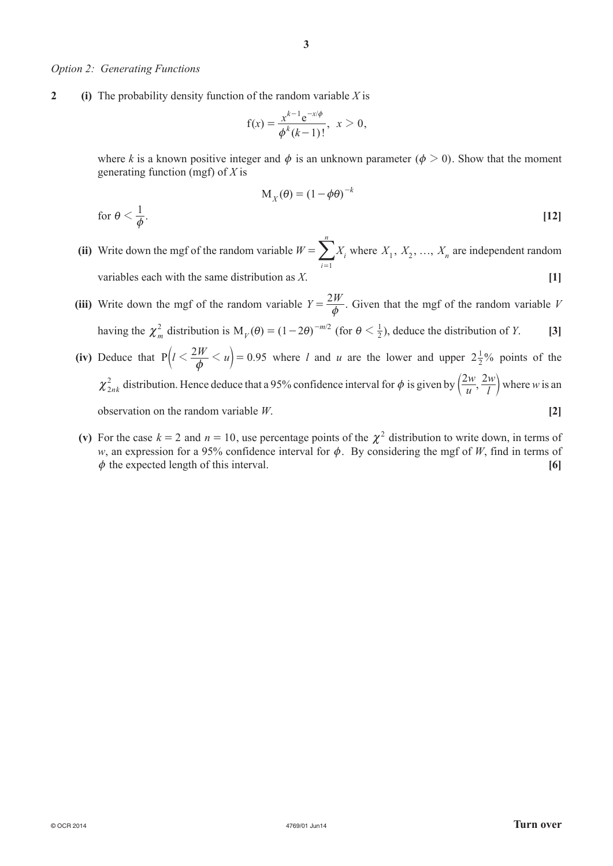#### *Option 2: Generating Functions*

**2** (i) The probability density function of the random variable *X* is

$$
f(x) = \frac{x^{k-1}e^{-x/\phi}}{\phi^k(k-1)!}, \ \ x > 0,
$$

where *k* is a known positive integer and  $\phi$  is an unknown parameter ( $\phi > 0$ ). Show that the moment generating function (mgf) of *X* is

$$
M_X(\theta) = (1 - \phi \theta)^{-k}
$$
 for  $\theta < \frac{1}{\phi}$ . [12]

- **(ii)** Write down the mgf of the random variable  $W = \sum_i X_i$ *i n* 1 =  $\sum_{i=1}^{n} X_i$  where  $X_1, X_2, ..., X_n$  are independent random variables each with the same distribution as  $X$ . **[1]**
- **(iii)** Write down the mgf of the random variable  $Y = \frac{2W}{\phi}$ . Given that the mgf of the random variable *V* having the  $\chi^2_m$  distribution is  $M_V(\theta) = (1 - 2\theta)^{-m/2}$  (for  $\theta \le \frac{1}{2}$ ), deduce the distribution of *Y*. [3]
- **(iv)** Deduce that  $P\left(l < \frac{2W}{\phi} < u\right) = 0.95$  where *l* and *u* are the lower and upper  $2\frac{1}{2}\%$  points of the  $\chi^2_{2nk}$  distribution. Hence deduce that a 95% confidence interval for  $\phi$  is given by  $\left(\frac{2w}{u},\right)$  $\left(\frac{2w}{u}, \frac{2w}{l}\right)$  where *w* is an observation on the random variable *W*. **[2]**
	- **(v)** For the case  $k = 2$  and  $n = 10$ , use percentage points of the  $\chi^2$  distribution to write down, in terms of *w*, an expression for a 95% confidence interval for  $\phi$ . By considering the mgf of *W*, find in terms of  $\phi$  the expected length of this interval. **[6]**  $\phi$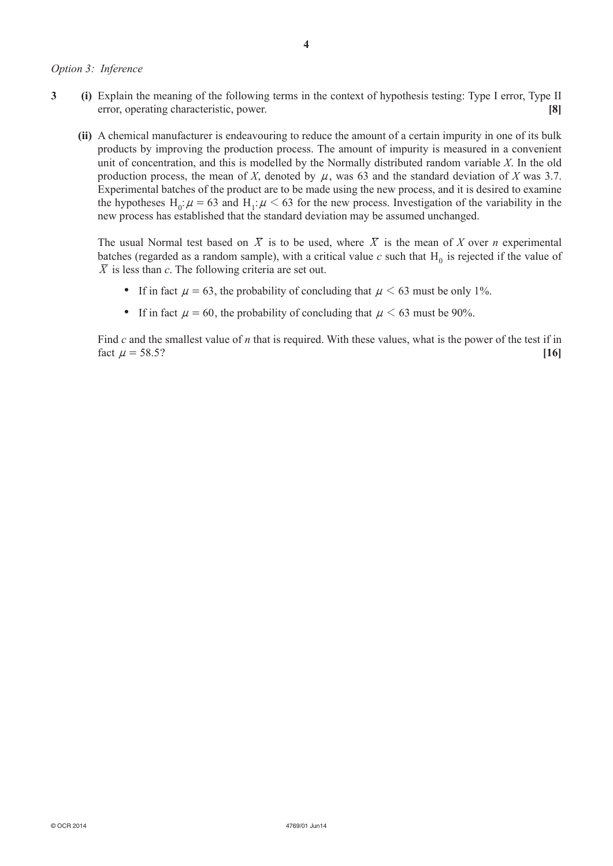### *Option 3: Inference*

- **3** (i) Explain the meaning of the following terms in the context of hypothesis testing: Type I error, Type II error, operating characteristic, power. **[8]**
	- **(ii)** A chemical manufacturer is endeavouring to reduce the amount of a certain impurity in one of its bulk products by improving the production process. The amount of impurity is measured in a convenient unit of concentration, and this is modelled by the Normally distributed random variable *X*. In the old production process, the mean of *X*, denoted by  $\mu$ , was 63 and the standard deviation of *X* was 3.7. Experimental batches of the product are to be made using the new process, and it is desired to examine the hypotheses  $H_0$ :  $\mu = 63$  and  $H_1$ :  $\mu < 63$  for the new process. Investigation of the variability in the new process has established that the standard deviation may be assumed unchanged.

The usual Normal test based on  $\overline{X}$  is to be used, where  $\overline{X}$  is the mean of *X* over *n* experimental batches (regarded as a random sample), with a critical value  $c$  such that  $H_0$  is rejected if the value of  $\overline{X}$  is less than *c*. The following criteria are set out.

- If in fact  $\mu = 63$ , the probability of concluding that  $\mu < 63$  must be only 1%.
- If in fact  $\mu = 60$ , the probability of concluding that  $\mu < 63$  must be 90%.

Find  $c$  and the smallest value of  $n$  that is required. With these values, what is the power of the test if in fact  $\mu = 58.5$ ? [16]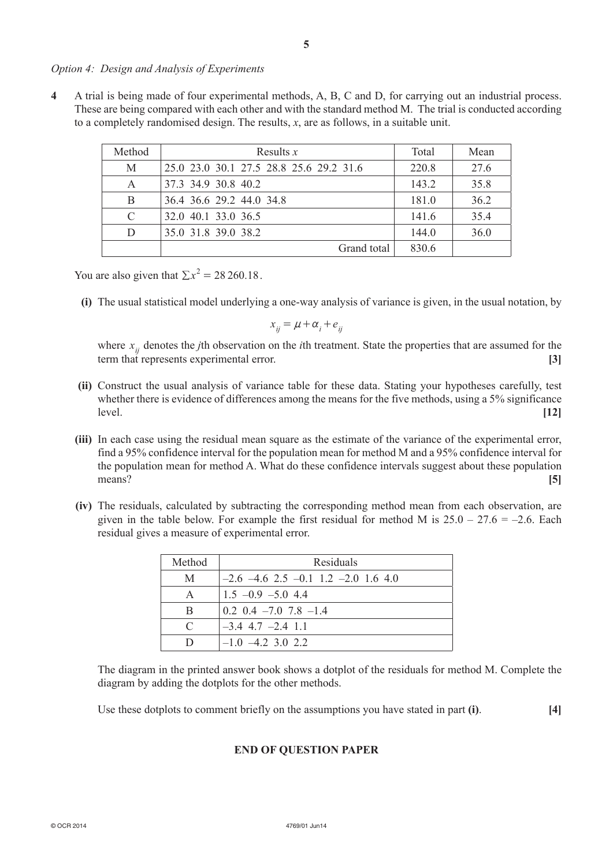*Option 4: Design and Analysis of Experiments*

**4**  A trial is being made of four experimental methods, A, B, C and D, for carrying out an industrial process. These are being compared with each other and with the standard method M. The trial is conducted according to a completely randomised design. The results, *x*, are as follows, in a suitable unit.

| Method        | Results $x$                             | Total | Mean |
|---------------|-----------------------------------------|-------|------|
| M             | 25.0 23.0 30.1 27.5 28.8 25.6 29.2 31.6 | 220.8 | 27.6 |
| А             | 37.3 34.9 30.8 40.2                     | 1432  | 35.8 |
| B             | 36.4 36.6 29.2 44.0 34.8                | 181.0 | 36.2 |
| $\mathcal{C}$ | 32.0 40.1 33.0 36.5                     | 141.6 | 35.4 |
| D             | 35.0 31.8 39.0 38.2                     | 144.0 | 36.0 |
|               | Grand total                             | 830.6 |      |

You are also given that  $\Sigma x^2 = 28260.18$ .

**(i)** The usual statistical model underlying a one-way analysis of variance is given, in the usual notation, by

$$
x_{ij} = \mu + \alpha_i + e_{ij}
$$

where  $x_{ij}$  denotes the *j*th observation on the *i*th treatment. State the properties that are assumed for the term that represents experimental error. term that represents experimental error. **[3]**

- **(ii)** Construct the usual analysis of variance table for these data. Stating your hypotheses carefully, test whether there is evidence of differences among the means for the five methods, using a 5% significance level. **[12]**
- **(iii)** In each case using the residual mean square as the estimate of the variance of the experimental error, find a 95% confidence interval for the population mean for method M and a 95% confidence interval for the population mean for method A. What do these confidence intervals suggest about these population means? **[5]**
- **(iv)** The residuals, calculated by subtracting the corresponding method mean from each observation, are given in the table below. For example the first residual for method M is  $25.0 - 27.6 = -2.6$ . Each residual gives a measure of experimental error.

| Method                      | Residuals                                           |
|-----------------------------|-----------------------------------------------------|
| M                           | $-2.6$ $-4.6$ $2.5$ $-0.1$ $1.2$ $-2.0$ $1.6$ $4.0$ |
| $\mathsf{A}$                | $1.5 - 0.9 - 5.0$ 4.4                               |
| B                           | $0.2 \t0.4 - 7.0 \t7.8 - 1.4$                       |
| $\mathcal{C}_{\mathcal{C}}$ | $-3447 - 2411$                                      |
|                             | $-10 - 42$ 3 0 2 2                                  |

The diagram in the printed answer book shows a dotplot of the residuals for method M. Complete the diagram by adding the dotplots for the other methods.

Use these dotplots to comment briefly on the assumptions you have stated in part **(i)**. **[4]**

### **END OF QUESTION PAPER**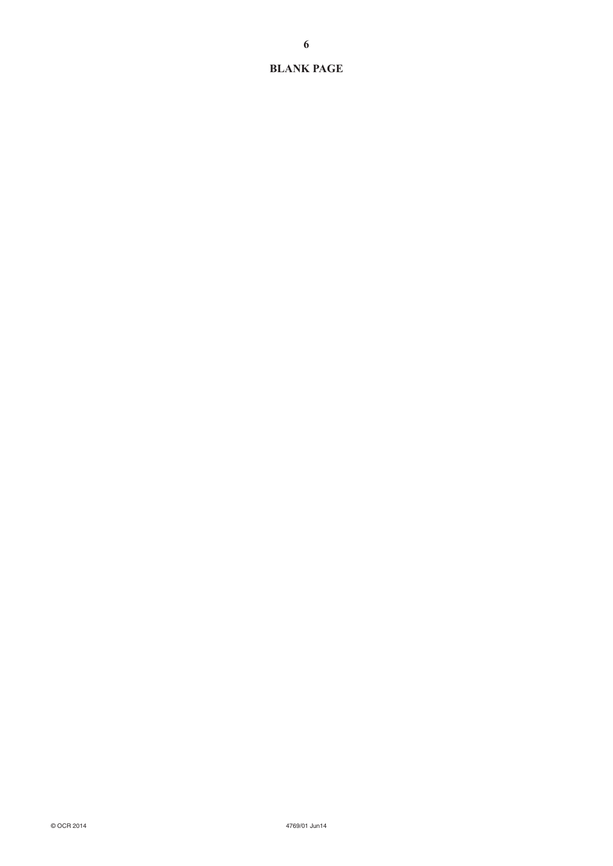## **BLANK PAGE**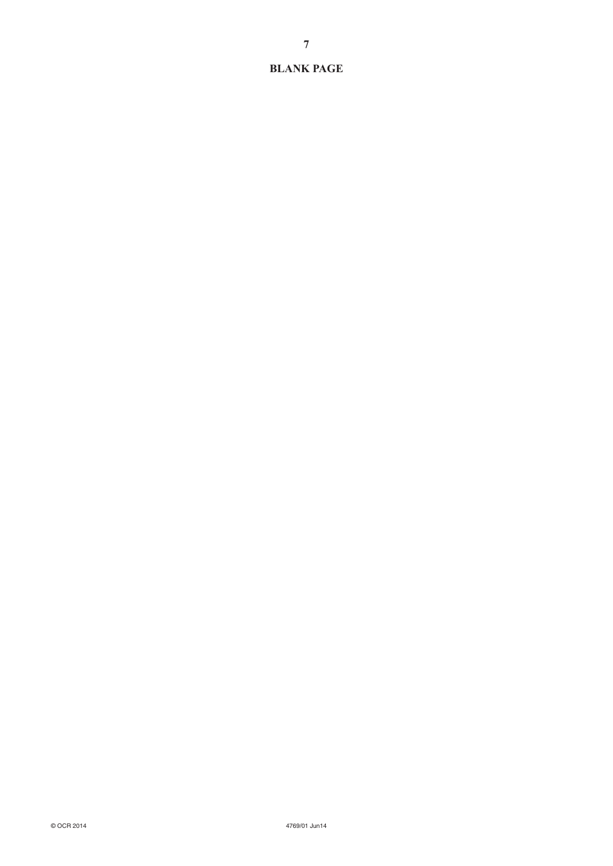## **BLANK PAGE**